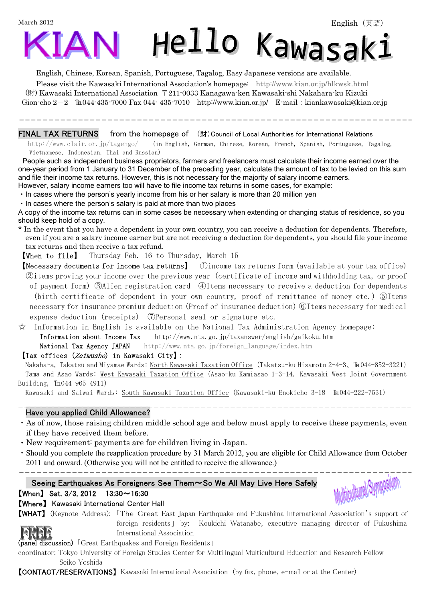March 2012

ֺ



English, Chinese, Korean, Spanish, Portuguese, Tagalog, Easy Japanese versions are available.

Please visit the Kawasaki International Association's homepage: http://www.kian.or.jp/hlkwsk.html

 (財) Kawasaki International Association 〒211-0033 Kanagawa-ken Kawasaki-shi Nakahara-ku Kizuki Gion-cho  $2-2$   $\mathbb{I}$  044-435-7000 Fax 044-435-7010 http://www.kian.or.jp/ E-mail: kiankawasaki@kian.or.jp

FINAL TAX RETURNS from the homepage of  $($ 財) Council of Local Authorities for International Relations

 http://www.clair.or.jp/tagengo/ (in English, German, Chinese, Korean, French, Spanish, Portuguese, Tagalog, Vietnamese, Indonesian, Thai and Russian)

People such as independent business proprietors, farmers and freelancers must calculate their income earned over the one-year period from 1 January to 31 December of the preceding year, calculate the amount of tax to be levied on this sum and file their income tax returns. However, this is not necessary for the majority of salary income earners. However, salary income earners too will have to file income tax returns in some cases, for example:

・In cases where the person's yearly income from his or her salary is more than 20 million yen

・In cases where the person's salary is paid at more than two places

A copy of the income tax returns can in some cases be necessary when extending or changing status of residence, so you should keep hold of a copy.

\* In the event that you have a dependent in your own country, you can receive a deduction for dependents. Therefore, even if you are a salary income earner but are not receiving a deduction for dependents, you should file your income tax returns and then receive a tax refund.

【When to file】 Thursday Feb. 16 to Thursday, March 15

【Necessary documents for income tax returns】 ①income tax returns form (available at your tax office) ②items proving your income over the previous year(certificate of income and withholding tax, or proof of payment form)③Alien registration card ④Items necessary to receive a deduction for dependents (birth certificate of dependent in your own country, proof of remittance of money etc.)⑤Items necessary for insurance premium deduction(Proof of insurance deduction)⑥Items necessary for medical expense deduction (receipts) ⑦Personal seal or signature etc.

 $\hat{\varphi}$  Information in English is available on the National Tax Administration Agency homepage:

Information about Income Tax http://www.nta.go.jp/taxanswer/english/gaikoku.htm

National Tax Agency JAPAN http://www.nta.go.jp/foreign\_language/index.htm

### 【Tax offices (Zeimusho) in Kawasaki City】:

Nakahara, Takatsu and Miyamae Wards: North Kawasaki Taxation Office (Takatsu-ku Hisamoto 2-4-3、℡044-852-3221) Tama and Asao Wards: West Kawasaki Taxation Office(Asao-ku Kamiasao 1-3-14, Kawasaki West Joint Government Building, TE044-965-4911)

Kawasaki and Saiwai Wards: South Kawasaki Taxation Office (Kawasaki-ku Enokicho 3-18 ℡044-222-7531)

### Have you applied Child Allowance?

- ・As of now, those raising children middle school age and below must apply to receive these payments, even if they have received them before.
- ・New requirement: payments are for children living in Japan.
- ・Should you complete the reapplication procedure by 31 March 2012, you are eligible for Child Allowance from October 2011 and onward. (Otherwise you will not be entitled to receive the allowance.)

 $\overline{a}$ 

## Seeing Earthquakes As Foreigners See Them~So We All May Live Here Safely



 $[When]$  Sat. 3/3, 2012 13:30 ~ 16:30 【Where】 Kawasaki International Center Hall

【WHAT】 (Keynote Address): 「The Great East Japan Earthquake and Fukushima International Association's support of foreign residents」 by: Koukichi Watanabe, executive managing director of Fukushima International Association

(panel discussion) 「Great Earthquakes and Foreign Residents」

coordinator: Tokyo University of Foreign Studies Center for Multilingual Multicultural Education and Research Fellow Seiko Yoshida

【CONTACT/RESERVATIONS】 Kawasaki International Association (by fax, phone, e-mail or at the Center)